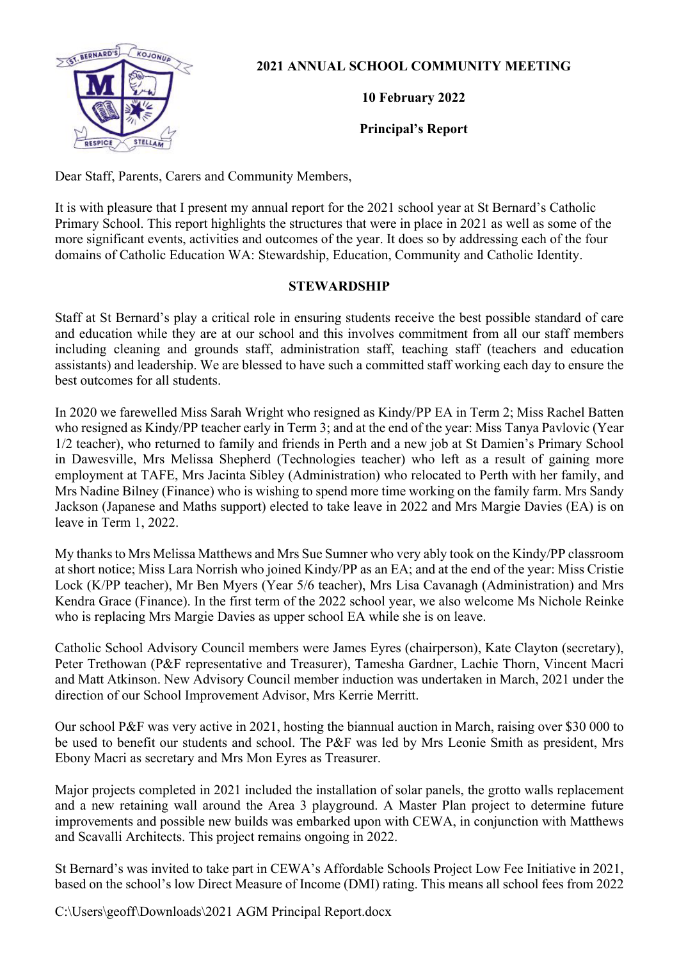

**2021 ANNUAL SCHOOL COMMUNITY MEETING** 

**10 February 2022**

**Principal's Report**

Dear Staff, Parents, Carers and Community Members,

It is with pleasure that I present my annual report for the 2021 school year at St Bernard's Catholic Primary School. This report highlights the structures that were in place in 2021 as well as some of the more significant events, activities and outcomes of the year. It does so by addressing each of the four domains of Catholic Education WA: Stewardship, Education, Community and Catholic Identity.

# **STEWARDSHIP**

Staff at St Bernard's play a critical role in ensuring students receive the best possible standard of care and education while they are at our school and this involves commitment from all our staff members including cleaning and grounds staff, administration staff, teaching staff (teachers and education assistants) and leadership. We are blessed to have such a committed staff working each day to ensure the best outcomes for all students.

In 2020 we farewelled Miss Sarah Wright who resigned as Kindy/PP EA in Term 2; Miss Rachel Batten who resigned as Kindy/PP teacher early in Term 3; and at the end of the year: Miss Tanya Pavlovic (Year 1/2 teacher), who returned to family and friends in Perth and a new job at St Damien's Primary School in Dawesville, Mrs Melissa Shepherd (Technologies teacher) who left as a result of gaining more employment at TAFE, Mrs Jacinta Sibley (Administration) who relocated to Perth with her family, and Mrs Nadine Bilney (Finance) who is wishing to spend more time working on the family farm. Mrs Sandy Jackson (Japanese and Maths support) elected to take leave in 2022 and Mrs Margie Davies (EA) is on leave in Term 1, 2022.

My thanks to Mrs Melissa Matthews and Mrs Sue Sumner who very ably took on the Kindy/PP classroom at short notice; Miss Lara Norrish who joined Kindy/PP as an EA; and at the end of the year: Miss Cristie Lock (K/PP teacher), Mr Ben Myers (Year 5/6 teacher), Mrs Lisa Cavanagh (Administration) and Mrs Kendra Grace (Finance). In the first term of the 2022 school year, we also welcome Ms Nichole Reinke who is replacing Mrs Margie Davies as upper school EA while she is on leave.

Catholic School Advisory Council members were James Eyres (chairperson), Kate Clayton (secretary), Peter Trethowan (P&F representative and Treasurer), Tamesha Gardner, Lachie Thorn, Vincent Macri and Matt Atkinson. New Advisory Council member induction was undertaken in March, 2021 under the direction of our School Improvement Advisor, Mrs Kerrie Merritt.

Our school P&F was very active in 2021, hosting the biannual auction in March, raising over \$30 000 to be used to benefit our students and school. The P&F was led by Mrs Leonie Smith as president, Mrs Ebony Macri as secretary and Mrs Mon Eyres as Treasurer.

Major projects completed in 2021 included the installation of solar panels, the grotto walls replacement and a new retaining wall around the Area 3 playground. A Master Plan project to determine future improvements and possible new builds was embarked upon with CEWA, in conjunction with Matthews and Scavalli Architects. This project remains ongoing in 2022.

St Bernard's was invited to take part in CEWA's Affordable Schools Project Low Fee Initiative in 2021, based on the school's low Direct Measure of Income (DMI) rating. This means all school fees from 2022

C:\Users\geoff\Downloads\2021 AGM Principal Report.docx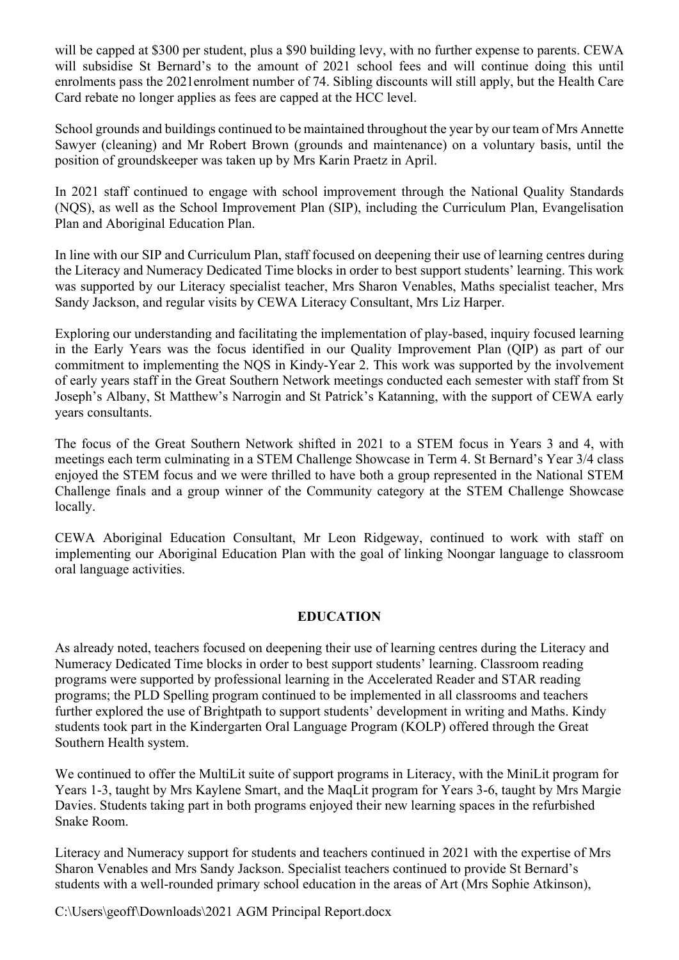will be capped at \$300 per student, plus a \$90 building levy, with no further expense to parents. CEWA will subsidise St Bernard's to the amount of 2021 school fees and will continue doing this until enrolments pass the 2021enrolment number of 74. Sibling discounts will still apply, but the Health Care Card rebate no longer applies as fees are capped at the HCC level.

School grounds and buildings continued to be maintained throughout the year by our team of Mrs Annette Sawyer (cleaning) and Mr Robert Brown (grounds and maintenance) on a voluntary basis, until the position of groundskeeper was taken up by Mrs Karin Praetz in April.

In 2021 staff continued to engage with school improvement through the National Quality Standards (NQS), as well as the School Improvement Plan (SIP), including the Curriculum Plan, Evangelisation Plan and Aboriginal Education Plan.

In line with our SIP and Curriculum Plan, staff focused on deepening their use of learning centres during the Literacy and Numeracy Dedicated Time blocks in order to best support students' learning. This work was supported by our Literacy specialist teacher, Mrs Sharon Venables, Maths specialist teacher, Mrs Sandy Jackson, and regular visits by CEWA Literacy Consultant, Mrs Liz Harper.

Exploring our understanding and facilitating the implementation of play-based, inquiry focused learning in the Early Years was the focus identified in our Quality Improvement Plan (QIP) as part of our commitment to implementing the NQS in Kindy-Year 2. This work was supported by the involvement of early years staff in the Great Southern Network meetings conducted each semester with staff from St Joseph's Albany, St Matthew's Narrogin and St Patrick's Katanning, with the support of CEWA early years consultants.

The focus of the Great Southern Network shifted in 2021 to a STEM focus in Years 3 and 4, with meetings each term culminating in a STEM Challenge Showcase in Term 4. St Bernard's Year 3/4 class enjoyed the STEM focus and we were thrilled to have both a group represented in the National STEM Challenge finals and a group winner of the Community category at the STEM Challenge Showcase locally.

CEWA Aboriginal Education Consultant, Mr Leon Ridgeway, continued to work with staff on implementing our Aboriginal Education Plan with the goal of linking Noongar language to classroom oral language activities.

# **EDUCATION**

As already noted, teachers focused on deepening their use of learning centres during the Literacy and Numeracy Dedicated Time blocks in order to best support students' learning. Classroom reading programs were supported by professional learning in the Accelerated Reader and STAR reading programs; the PLD Spelling program continued to be implemented in all classrooms and teachers further explored the use of Brightpath to support students' development in writing and Maths. Kindy students took part in the Kindergarten Oral Language Program (KOLP) offered through the Great Southern Health system.

We continued to offer the MultiLit suite of support programs in Literacy, with the MiniLit program for Years 1-3, taught by Mrs Kaylene Smart, and the MaqLit program for Years 3-6, taught by Mrs Margie Davies. Students taking part in both programs enjoyed their new learning spaces in the refurbished Snake Room.

Literacy and Numeracy support for students and teachers continued in 2021 with the expertise of Mrs Sharon Venables and Mrs Sandy Jackson. Specialist teachers continued to provide St Bernard's students with a well-rounded primary school education in the areas of Art (Mrs Sophie Atkinson),

C:\Users\geoff\Downloads\2021 AGM Principal Report.docx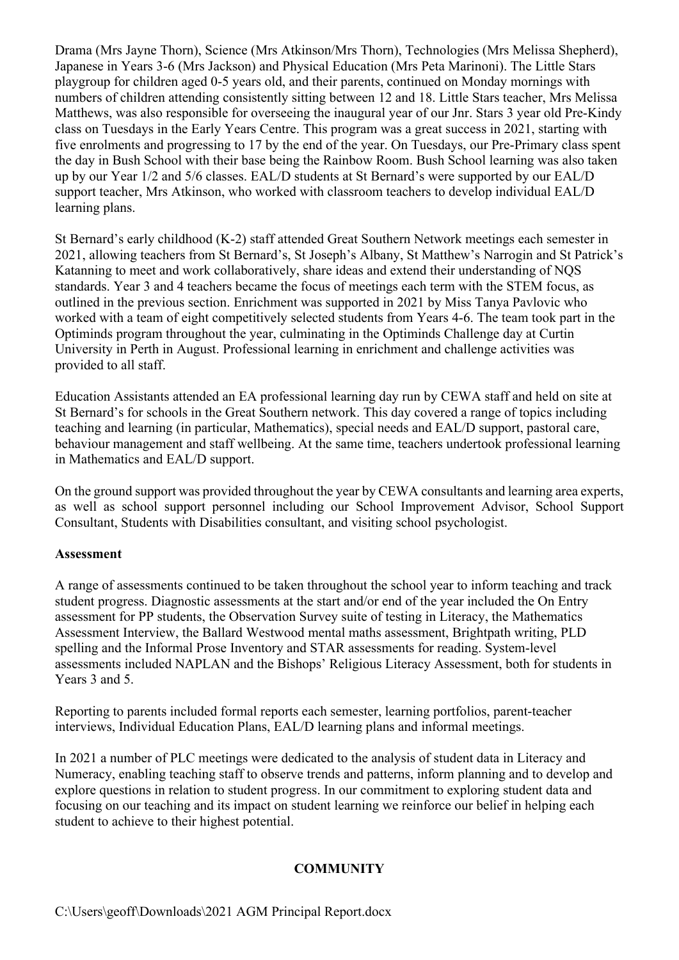Drama (Mrs Jayne Thorn), Science (Mrs Atkinson/Mrs Thorn), Technologies (Mrs Melissa Shepherd), Japanese in Years 3-6 (Mrs Jackson) and Physical Education (Mrs Peta Marinoni). The Little Stars playgroup for children aged 0-5 years old, and their parents, continued on Monday mornings with numbers of children attending consistently sitting between 12 and 18. Little Stars teacher, Mrs Melissa Matthews, was also responsible for overseeing the inaugural year of our Jnr. Stars 3 year old Pre-Kindy class on Tuesdays in the Early Years Centre. This program was a great success in 2021, starting with five enrolments and progressing to 17 by the end of the year. On Tuesdays, our Pre-Primary class spent the day in Bush School with their base being the Rainbow Room. Bush School learning was also taken up by our Year 1/2 and 5/6 classes. EAL/D students at St Bernard's were supported by our EAL/D support teacher, Mrs Atkinson, who worked with classroom teachers to develop individual EAL/D learning plans.

St Bernard's early childhood (K-2) staff attended Great Southern Network meetings each semester in 2021, allowing teachers from St Bernard's, St Joseph's Albany, St Matthew's Narrogin and St Patrick's Katanning to meet and work collaboratively, share ideas and extend their understanding of NQS standards. Year 3 and 4 teachers became the focus of meetings each term with the STEM focus, as outlined in the previous section. Enrichment was supported in 2021 by Miss Tanya Pavlovic who worked with a team of eight competitively selected students from Years 4-6. The team took part in the Optiminds program throughout the year, culminating in the Optiminds Challenge day at Curtin University in Perth in August. Professional learning in enrichment and challenge activities was provided to all staff.

Education Assistants attended an EA professional learning day run by CEWA staff and held on site at St Bernard's for schools in the Great Southern network. This day covered a range of topics including teaching and learning (in particular, Mathematics), special needs and EAL/D support, pastoral care, behaviour management and staff wellbeing. At the same time, teachers undertook professional learning in Mathematics and EAL/D support.

On the ground support was provided throughout the year by CEWA consultants and learning area experts, as well as school support personnel including our School Improvement Advisor, School Support Consultant, Students with Disabilities consultant, and visiting school psychologist.

# **Assessment**

A range of assessments continued to be taken throughout the school year to inform teaching and track student progress. Diagnostic assessments at the start and/or end of the year included the On Entry assessment for PP students, the Observation Survey suite of testing in Literacy, the Mathematics Assessment Interview, the Ballard Westwood mental maths assessment, Brightpath writing, PLD spelling and the Informal Prose Inventory and STAR assessments for reading. System-level assessments included NAPLAN and the Bishops' Religious Literacy Assessment, both for students in Years 3 and 5.

Reporting to parents included formal reports each semester, learning portfolios, parent-teacher interviews, Individual Education Plans, EAL/D learning plans and informal meetings.

In 2021 a number of PLC meetings were dedicated to the analysis of student data in Literacy and Numeracy, enabling teaching staff to observe trends and patterns, inform planning and to develop and explore questions in relation to student progress. In our commitment to exploring student data and focusing on our teaching and its impact on student learning we reinforce our belief in helping each student to achieve to their highest potential.

# **COMMUNITY**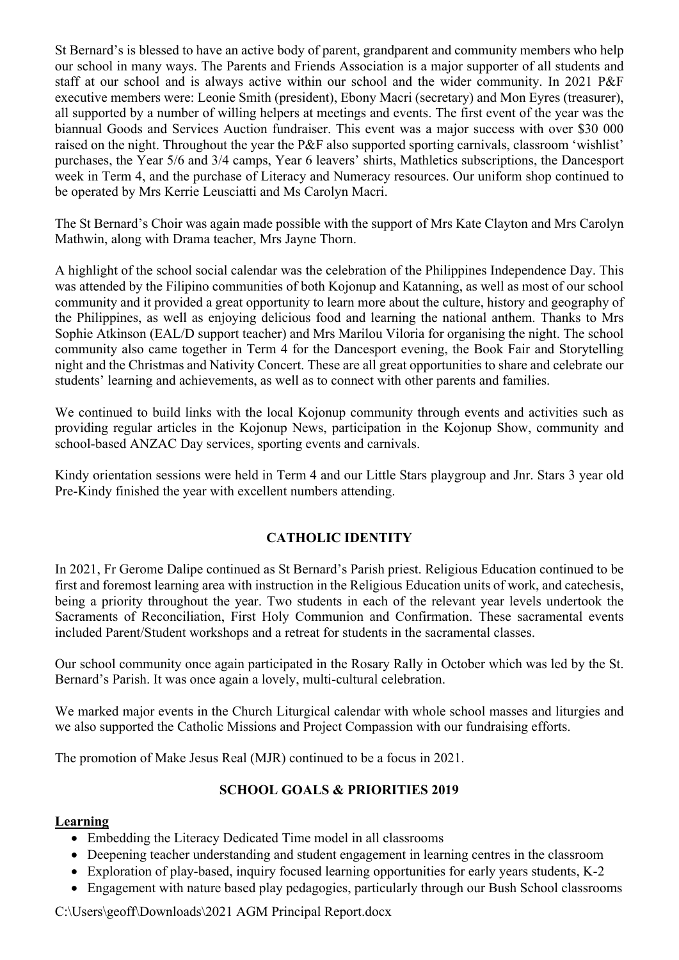St Bernard's is blessed to have an active body of parent, grandparent and community members who help our school in many ways. The Parents and Friends Association is a major supporter of all students and staff at our school and is always active within our school and the wider community. In 2021 P&F executive members were: Leonie Smith (president), Ebony Macri (secretary) and Mon Eyres (treasurer), all supported by a number of willing helpers at meetings and events. The first event of the year was the biannual Goods and Services Auction fundraiser. This event was a major success with over \$30 000 raised on the night. Throughout the year the P&F also supported sporting carnivals, classroom 'wishlist' purchases, the Year 5/6 and 3/4 camps, Year 6 leavers' shirts, Mathletics subscriptions, the Dancesport week in Term 4, and the purchase of Literacy and Numeracy resources. Our uniform shop continued to be operated by Mrs Kerrie Leusciatti and Ms Carolyn Macri.

The St Bernard's Choir was again made possible with the support of Mrs Kate Clayton and Mrs Carolyn Mathwin, along with Drama teacher, Mrs Jayne Thorn.

A highlight of the school social calendar was the celebration of the Philippines Independence Day. This was attended by the Filipino communities of both Kojonup and Katanning, as well as most of our school community and it provided a great opportunity to learn more about the culture, history and geography of the Philippines, as well as enjoying delicious food and learning the national anthem. Thanks to Mrs Sophie Atkinson (EAL/D support teacher) and Mrs Marilou Viloria for organising the night. The school community also came together in Term 4 for the Dancesport evening, the Book Fair and Storytelling night and the Christmas and Nativity Concert. These are all great opportunities to share and celebrate our students' learning and achievements, as well as to connect with other parents and families.

We continued to build links with the local Kojonup community through events and activities such as providing regular articles in the Kojonup News, participation in the Kojonup Show, community and school-based ANZAC Day services, sporting events and carnivals.

Kindy orientation sessions were held in Term 4 and our Little Stars playgroup and Jnr. Stars 3 year old Pre-Kindy finished the year with excellent numbers attending.

# **CATHOLIC IDENTITY**

In 2021, Fr Gerome Dalipe continued as St Bernard's Parish priest. Religious Education continued to be first and foremost learning area with instruction in the Religious Education units of work, and catechesis, being a priority throughout the year. Two students in each of the relevant year levels undertook the Sacraments of Reconciliation, First Holy Communion and Confirmation. These sacramental events included Parent/Student workshops and a retreat for students in the sacramental classes.

Our school community once again participated in the Rosary Rally in October which was led by the St. Bernard's Parish. It was once again a lovely, multi-cultural celebration.

We marked major events in the Church Liturgical calendar with whole school masses and liturgies and we also supported the Catholic Missions and Project Compassion with our fundraising efforts.

The promotion of Make Jesus Real (MJR) continued to be a focus in 2021.

# **SCHOOL GOALS & PRIORITIES 2019**

# **Learning**

- Embedding the Literacy Dedicated Time model in all classrooms
- Deepening teacher understanding and student engagement in learning centres in the classroom
- Exploration of play-based, inquiry focused learning opportunities for early years students, K-2
- Engagement with nature based play pedagogies, particularly through our Bush School classrooms

C:\Users\geoff\Downloads\2021 AGM Principal Report.docx